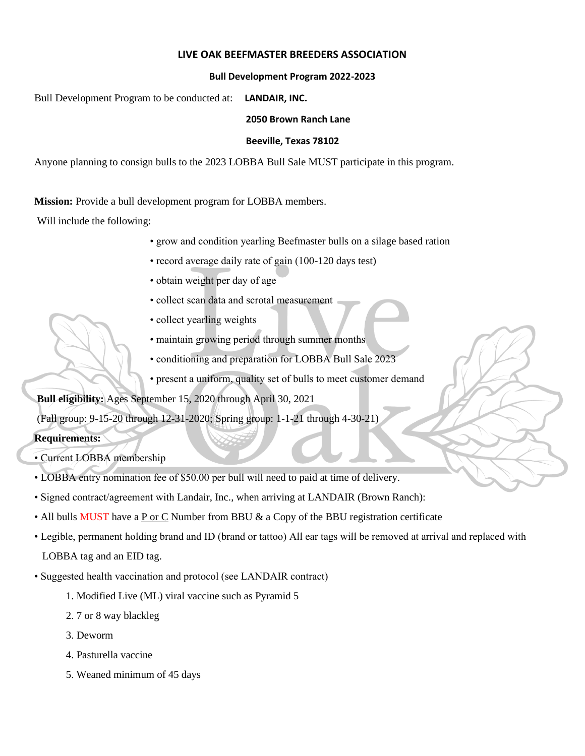### **LIVE OAK BEEFMASTER BREEDERS ASSOCIATION**

### **Bull Development Program 2022-2023**

Bull Development Program to be conducted at: **LANDAIR, INC.**

#### **2050 Brown Ranch Lane**

#### **Beeville, Texas 78102**

Anyone planning to consign bulls to the 2023 LOBBA Bull Sale MUST participate in this program.

**Mission:** Provide a bull development program for LOBBA members.

Will include the following:

- grow and condition yearling Beefmaster bulls on a silage based ration
- record average daily rate of gain (100-120 days test)
- obtain weight per day of age
- collect scan data and scrotal measurement
- collect yearling weights
- maintain growing period through summer months
- conditioning and preparation for LOBBA Bull Sale 2023
- present a uniform, quality set of bulls to meet customer demand

**Bull eligibility:** Ages September 15, 2020 through April 30, 2021

(Fall group: 9-15-20 through 12-31-2020; Spring group: 1-1-21 through 4-30-21)

# **Requirements:**

- Current LOBBA membership
- LOBBA entry nomination fee of \$50.00 per bull will need to paid at time of delivery.
- Signed contract/agreement with Landair, Inc., when arriving at LANDAIR (Brown Ranch):
- All bulls MUST have a P or C Number from BBU & a Copy of the BBU registration certificate
- Legible, permanent holding brand and ID (brand or tattoo) All ear tags will be removed at arrival and replaced with

LOBBA tag and an EID tag.

- Suggested health vaccination and protocol (see LANDAIR contract)
	- 1. Modified Live (ML) viral vaccine such as Pyramid 5
	- 2. 7 or 8 way blackleg
	- 3. Deworm
	- 4. Pasturella vaccine
	- 5. Weaned minimum of 45 days